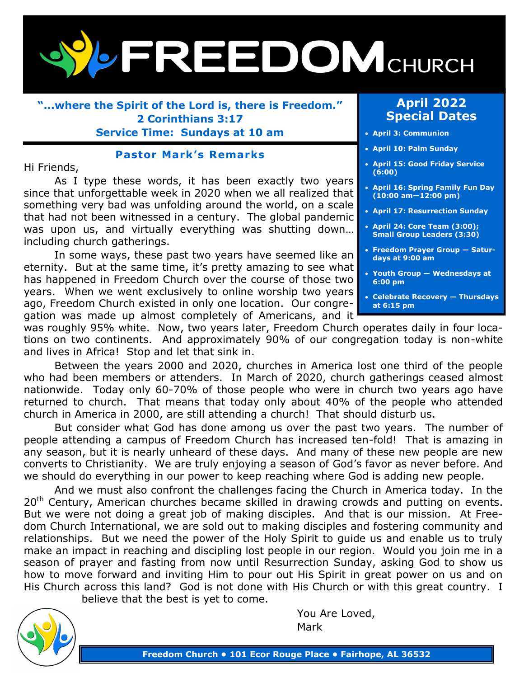

**"...where the Spirit of the Lord is, there is Freedom." 2 Corinthians 3:17 Service Time: Sundays at 10 am**

### **Pastor Mark's Remarks**

#### Hi Friends,

As I type these words, it has been exactly two years since that unforgettable week in 2020 when we all realized that something very bad was unfolding around the world, on a scale that had not been witnessed in a century. The global pandemic was upon us, and virtually everything was shutting down… including church gatherings.

In some ways, these past two years have seemed like an eternity. But at the same time, it's pretty amazing to see what has happened in Freedom Church over the course of those two years. When we went exclusively to online worship two years ago, Freedom Church existed in only one location. Our congregation was made up almost completely of Americans, and it

### **April 2022 Special Dates**

- **April 3: Communion**
- **April 10: Palm Sunday**
- **April 15: Good Friday Service (6:00)**
- **April 16: Spring Family Fun Day (10:00 am—12:00 pm)**
- **April 17: Resurrection Sunday**
- **April 24: Core Team (3:00); Small Group Leaders (3:30)**
- **Freedom Prayer Group — Saturdays at 9:00 am**
- **Youth Group — Wednesdays at 6:00 pm**
- **Celebrate Recovery — Thursdays at 6:15 pm**

was roughly 95% white. Now, two years later, Freedom Church operates daily in four locations on two continents. And approximately 90% of our congregation today is non-white and lives in Africa! Stop and let that sink in.

Between the years 2000 and 2020, churches in America lost one third of the people who had been members or attenders. In March of 2020, church gatherings ceased almost nationwide. Today only 60-70% of those people who were in church two years ago have returned to church. That means that today only about 40% of the people who attended church in America in 2000, are still attending a church! That should disturb us.

But consider what God has done among us over the past two years. The number of people attending a campus of Freedom Church has increased ten-fold! That is amazing in any season, but it is nearly unheard of these days. And many of these new people are new converts to Christianity. We are truly enjoying a season of God's favor as never before. And we should do everything in our power to keep reaching where God is adding new people.

And we must also confront the challenges facing the Church in America today. In the 20<sup>th</sup> Century, American churches became skilled in drawing crowds and putting on events. But we were not doing a great job of making disciples. And that is our mission. At Freedom Church International, we are sold out to making disciples and fostering community and relationships. But we need the power of the Holy Spirit to guide us and enable us to truly make an impact in reaching and discipling lost people in our region. Would you join me in a season of prayer and fasting from now until Resurrection Sunday, asking God to show us how to move forward and inviting Him to pour out His Spirit in great power on us and on His Church across this land? God is not done with His Church or with this great country. I

believe that the best is yet to come.



You Are Loved, Mark